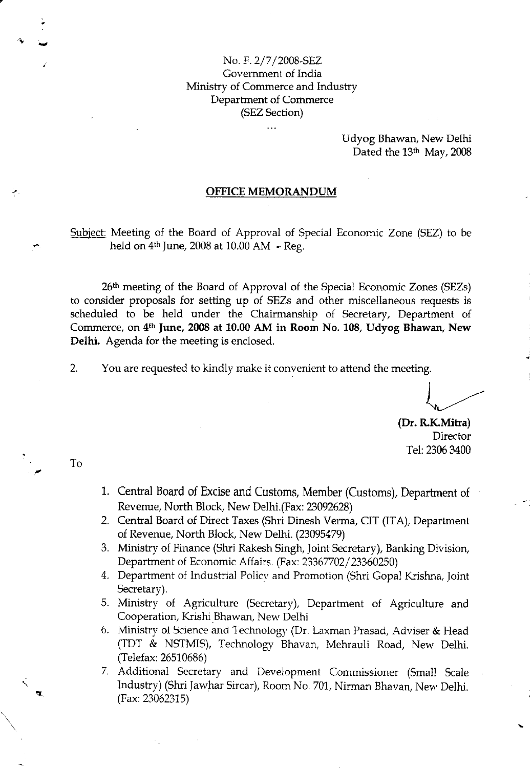#### No. F.2/7 /2008-SEZ Government of India Ministry of Commerce and Industry Departrnent of Commerce (SEZ Section)

Udyog Bhawan, New Delhi Dated the  $13<sup>th</sup>$  May, 2008

#### OFFICE MEMORANDUM

Subiect: Meeting of the Board of Approval of Special Economic Zone (SEZ) to be held on  $4<sup>th</sup>$  June, 2008 at 10.00 AM - Reg.

26<sup>th</sup> meeting of the Board of Approval of the Special Economic Zones (SEZs) to consider proposals for setting up of SEZs and other miscelianeous requests is scheduled to be held under the Chairmanship of Secretary, Departrnent of Commerce, on 4th June, 2008 at 10.00 AM in Room No. 108, Udyog Bhawan, New Delhi. Agenda for the meeting is enclosed.

2. You are requested to kindly make it convenient to attend the meeting.

(Dr. R.K.Mitra) Director Tel: 2306 3400

To

- 1. Central Board of Excise and Customs, Member (Customs), Department of Revenue, North Block, New Delhi. (Fax: 23092628)
- 2. Central Board of Direct Taxes (Shri Dinesh Verma, CIT (ITA), Department of Revenue, North Block, New Delhi. (23095479)
- 3. Ministry of Finance (Shri Rakesh Singh, Joint Secretary), Banking Division, Department of Economic Affairs. (Fax: 23367702/23360250)
- 4. Department of Industrial Policv and Promotion (Shri Gopal Krishna, Joint Secretary).
- 5. Ministry of Agriculture (Secretary), Department of Agriculture and Cooperation, Krishi Bhawan, New Delhi
- 6. Ministry of Science and Technology (Dr. Laxman Prasad, Adviser & Head (TDT & NSTMIS), Technology Bhavan, Mehrauli Road, New Delhi. (Telefax: 26510686)
- 7. Additional Secretary and Development Commissioner (Small Scale Industry) (Shri Jawhar Sircar), Room No. 701, Nirman Bhavan, New Delhi. (Fax: 23062315)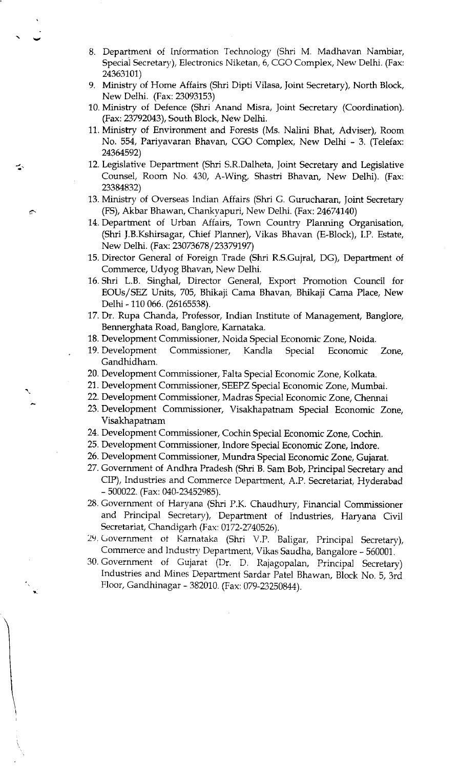- 8. Department of Information Technology (Shri M. Madhavan Nambiar, Special Secretary), Electronics Niketan, 6, CGO Complex, New Delhi. (Fax: 24363101)
- 9. Ministry of Home Affairs (Shri Dipti Viiasa, Joint Secretary), North Block, New Delhi. (Fax: 23093153)
- 10. Ministry of Defence (Shri Anand Misra, Joint Secretary (Coordination). (Fax:23792043), South Block, New Delhi.
- 11. Ministry of Environment and Forests (Ms. Nalini Bhat, Adviser), Room No. 554, Pariyavaran Bhavan, CGO Complex, New Delhi - 3. (Telefax: 24364592)
- 12. Legislative Deparrment (Shri S.R.Dalheta, Joint Secretary and Legislative Counsel, Room No. 430, A-Wing, Shastri Bhavan, New Delhi). (Fax: 23384832)
- 13. Ministry of Overseas Indian Affairs (Shri G. Gurucharan, Joint Secretary (FS), Akbar Bhawan, Chankvapuri, New Delhi. (Fax:24674740)

a.

- 14. Department of Urban Affairs, Town Country Planning Organisation, (Shri J.B.Kshirsagar, Chief Planner), Vikas Bhavan (E-B1ock), I.P. Estate, New Delhi. (Fax: 23073678 / 23379197)
- 15. Director General of Foreign Trade (Shri R.S.Gujral, DG), Deparrment of Commerce, Udyog Bhavan, New Delhi.
- 16. Shri L.B. Singhal, Director General, Export Promotion Council for EOUs/SEZ Units, 705, Bhikaji Cama Bhavan, Bhikaji Cama Place, New Delhi - 110 066. (26165538).
- 17. Dr. Rupa Chanda, Professor, Indian Institute of Management, Banglore, Bennerghata Road, Bangiore, Karnataka.
- 18. Development Commissioner, Noida Special Economic Zone, Noida.
- 19. Development Commrssioner, Kandla Special Economic Zone, Gandhidham.
- 20. Development Commissioner, Falta Special Economic Zone, Kolkata.
- 21. Development Commissioner, SEEPZ Special Economic Zone, Mumbai.
- 22. Development Commissioner, Madras Special Economic Zone, Chennai
- 23. Development Commissioner, Visakhapatnam Special Economic Zone, Visakhapatnam
- 24. Development Commissioner, Cochin Special Economic Zone, Cochin-
- 25. Development Commissioner, Indore Special Economic Zone, Indore.
- 26. Development Commissioner, Mundra Special Economic Zone, Gujarat.
- 27. Government of Andhra Pradesh (Shri B. Sam Bob, Principal Secretary and CIP), Industries and Commerce Department, A.P. Secretariat, Hyderabad - 500022. (Fax: 040-23452985).
- 28. Government of Haryana (Shri P.K. Chaudhury, Financial Commissioner and Principal Secretary), Department of Industries, Haryana Civil Secretariat, Chandigarh (Fax: 0172-2740526).
- 29. Government ol Karnataka (Shri V.P. Ba1igar., Principal Secretary), Commerce and Industry Department, Vikas Saudha, Bangalore - 560001.
- 30. Government of Gujarat (Dr. D. Rajagopalan, principal Secretary) Industries and Mines Department Sardar Patel Bhawan, Block No. 5, 3rd Floor, Gandhinagar - 382010. (Fax: 079-23250844).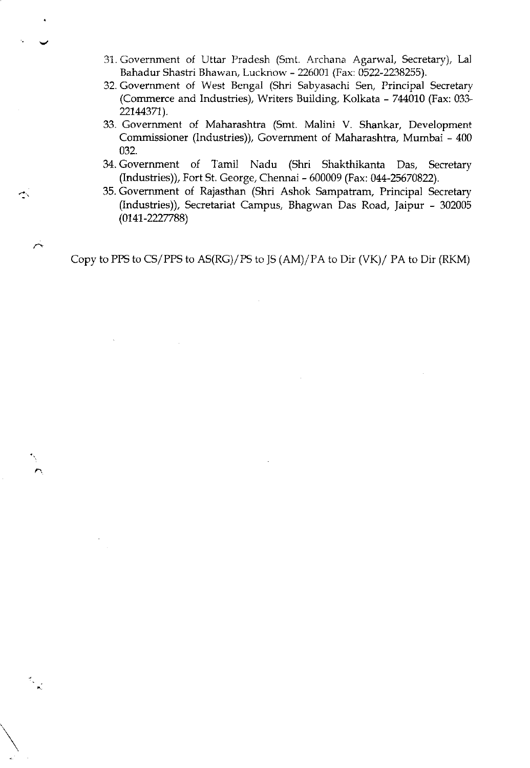- 31. Government of Uttar Pradesh (Smt. Archana Agarwal, Secretary), Lal Bahadur Shastri Bhawan, Lucknow - 226001 (Fax: 0522-2238255).
- 32. Government of West Bengai (Shri Sabvasachi Sen, Principal Secretary (Commerce and Industries), Writers Building, Kolkata - 744010 (Fax: 033-22144371).
- 33. Government o{ Maharashtra (Smt. Malini V. Shankar, Development Commissioner (Industries)), Government of Maharashtra, Mumbai - <sup>400</sup> 032.
- 34. Government of Tamil Nadu (Shri Shakthikanta Das, Secretary (Industries)), Fort St. George, Chennai - 600009 (Fax: 044-25670822).
- 35. Govemment of Rajasthan (Shri Ashok Sampatram, Principal Secretary (Industries)), Secretariat Campus, Bhagwan Das Road, Jaipur - <sup>302005</sup>  $(0141 - 2227788)$

Copy to PPS to CS/PPS to AS(RG)/PS to JS  $(AM)/PA$  to Dir  $(VK)/PA$  to Dir  $(RKM)$ 

 $\rightarrow$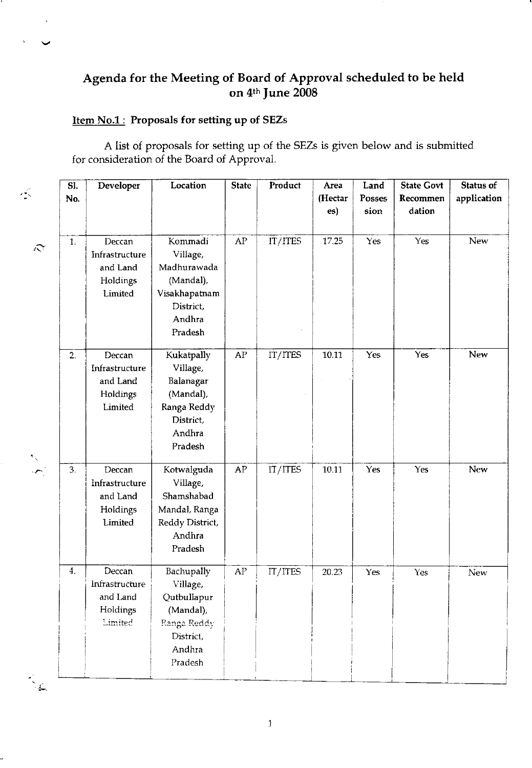## Agenda for the Meeting of Board of Approval scheduled to be held on 4<sup>th</sup> June 2008

## Item No.1: Proposals for setting up of SEZs

A list of proposals for setting up of the SEZs is given below and is submitted for consideration of the Board of Approval.

| $\lesssim$             | $\overline{\text{SI}}$ .<br>No. | Developer                                                   | Location                                                                                            | <b>State</b> | Product | Area<br>(Hectar<br>es) | Land<br>Posses<br>sion | <b>State Govt</b><br>Recommen<br>dation | Status of<br>application |
|------------------------|---------------------------------|-------------------------------------------------------------|-----------------------------------------------------------------------------------------------------|--------------|---------|------------------------|------------------------|-----------------------------------------|--------------------------|
| $\hat{\mathbf{r}}$     | 1.                              | Deccan<br>Infrastructure<br>and Land<br>Holdings<br>Limited | Kommadi<br>Village.<br>Madhurawada<br>(Mandal),<br>Visakhapatnam<br>District,<br>Andhra<br>Pradesh  | ${\sf AP}$   | IT/ITES | 17.25                  | Yes                    | Yes                                     | New                      |
| $\mathcal{N}_{\infty}$ | $\overline{2}$ .                | Deccan<br>Infrastructure<br>and Land<br>Holdings<br>Limited | Kukatpally<br>Village.<br>Balanagar<br>(Mandal),<br>Ranga Reddy<br>District,<br>Andhra<br>Pradesh   | ${\sf AP}$   | IT/ITES | 10.11                  | Yes                    | Yes                                     | New                      |
| $\sim$ .               | 3.                              | Deccan<br>Infrastructure<br>and Land<br>Holdings<br>Limited | Kotwalguda<br>Village,<br>Shamshabad<br>Mandal, Ranga<br>Reddy District,<br>Andhra<br>Pradesh       | ${\sf AP}$   | IT/ITES | 10.11                  | Yes                    | Yes                                     | New                      |
| $\mathcal{L}$          | 4.                              | Deccan<br>Infrastructure<br>and Land<br>Holdings<br>Limited | Bachupally<br>Village,<br>Qutbullapur<br>(Mandal),<br>Ranga Reddy<br>District,<br>Andhra<br>Pradesh | ${\sf AP}$   | IT/ITES | 20.23                  | Yes                    | Yes                                     | <b>New</b>               |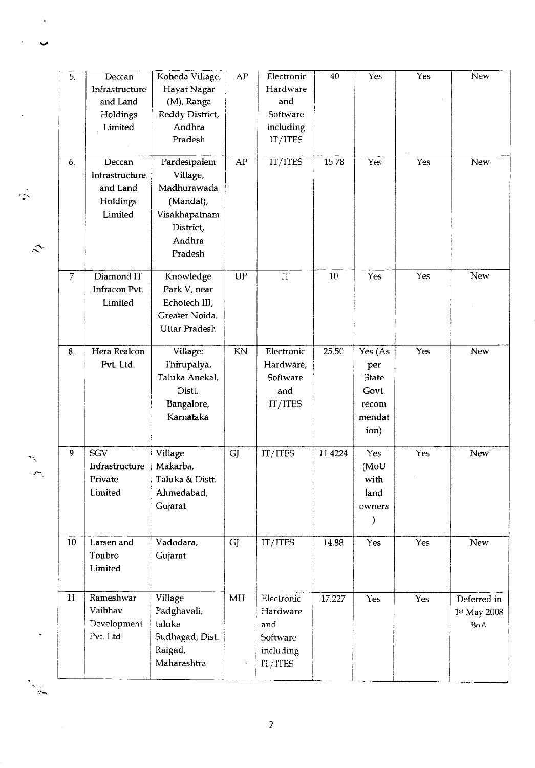|                             | $\overline{5}$ . | Deccan                   | Koheda Village,         | ${\sf AP}$                 | Electronic | 40      | Yes                 | Yes        | New          |
|-----------------------------|------------------|--------------------------|-------------------------|----------------------------|------------|---------|---------------------|------------|--------------|
|                             |                  | Infrastructure           | Hayat Nagar             |                            | Hardware   |         |                     |            |              |
|                             |                  | and Land                 | (M), Ranga              |                            | and        |         |                     |            |              |
|                             |                  | Holdings                 | Reddy District,         |                            | Software   |         |                     |            |              |
|                             |                  | Limited                  | Andhra                  |                            | including  |         |                     |            |              |
|                             |                  |                          | Pradesh                 |                            | IT/ITES    |         |                     |            |              |
|                             |                  |                          |                         |                            |            |         |                     |            |              |
|                             | 6.               | Deccan<br>Infrastructure | Pardesipalem            | ${\rm AP}$                 | IT/ITES    | 15.78   | Yes                 | Yes        | New          |
|                             |                  |                          | Village,<br>Madhurawada |                            |            |         |                     |            |              |
|                             |                  | and Land                 |                         |                            |            |         |                     |            |              |
|                             |                  | Holdings                 | (Mandal),               |                            |            |         |                     |            |              |
|                             |                  | Limited                  | Visakhapatnam           |                            |            |         |                     |            |              |
|                             |                  |                          | District,               |                            |            |         |                     |            |              |
| ₹                           |                  |                          | Andhra                  |                            |            |         |                     |            |              |
|                             |                  |                          | Pradesh                 |                            |            |         |                     |            |              |
|                             | $\overline{7}$   | Diamond IT               | Knowledge               | $\ensuremath{\mathsf{UP}}$ | IT         | 10      | Yes                 | Yes        | New          |
|                             |                  | Infracon Pvt.            | Park V, near            |                            |            |         |                     |            |              |
|                             |                  | Limited                  | Echotech III,           |                            |            |         |                     |            |              |
|                             |                  |                          | Greater Noida,          |                            |            |         |                     |            |              |
|                             |                  |                          | <b>Uttar Pradesh</b>    |                            |            |         |                     |            |              |
|                             | 8.               | Hera Realcon             | Village:                | KN                         | Electronic | 25.50   | Yes (As             | Yes        | <b>New</b>   |
|                             |                  | Pvt. Ltd.                | Thirupalya,             |                            | Hardware,  |         |                     |            |              |
|                             |                  |                          | Taluka Anekal,          |                            | Software   |         | per<br><b>State</b> |            |              |
|                             |                  |                          | Distt.                  |                            | and        |         | Govt.               |            |              |
|                             |                  |                          |                         |                            |            |         |                     |            |              |
|                             |                  |                          | Bangalore,              |                            | IT/ITES    |         | recom               |            |              |
|                             |                  |                          | Karnataka               |                            |            |         | mendat<br>ion)      |            |              |
|                             |                  |                          |                         |                            |            |         |                     |            |              |
|                             | 9                | SGV                      | Village                 | GJ                         | IT/ITES    | 11.4224 | Yes                 | <b>Yes</b> | New          |
| X                           |                  | Infrastructure           | Makarba,                |                            |            |         | (MoU                |            |              |
| $\mathcal{L}_{\mathcal{L}}$ |                  | Private                  | Taluka & Distt.         |                            |            |         | with                |            |              |
|                             |                  | Limited                  | Ahmedabad,              |                            |            |         | land                |            |              |
|                             |                  |                          | Gujarat                 |                            |            |         | owners              |            |              |
|                             |                  |                          |                         |                            |            |         |                     |            |              |
|                             | 10               | Larsen and               | Vadodara,               | <b>GJ</b>                  | IT/ITES    | 14.88   | Yes                 | Yes        | New          |
|                             |                  | Toubro                   | Gujarat                 |                            |            |         |                     |            |              |
|                             |                  | Limited                  |                         |                            |            |         |                     |            |              |
|                             |                  |                          |                         |                            |            |         |                     |            |              |
|                             | 11               | Rameshwar                | Village                 | MH                         | Electronic | 17.227  | Yes                 | Yes        | Deferred in  |
|                             |                  | Vaibhav                  | Padghavali,             |                            | Hardware   |         |                     |            | 1st May 2008 |
|                             |                  | Development              | taluka                  |                            | and        |         |                     |            | BoA          |
|                             |                  | Pvt. Ltd.                | Sudhagad, Dist.         |                            | Software   |         |                     |            |              |
|                             |                  |                          | Raigad,                 |                            | including  |         |                     |            |              |
|                             |                  |                          | Maharashtra             |                            | IT/ITES    |         |                     |            |              |
|                             |                  |                          |                         |                            |            |         |                     |            |              |
|                             |                  |                          |                         |                            |            |         |                     |            |              |

 $\ddot{\phantom{0}}$ 

 $\mathbb{Z}$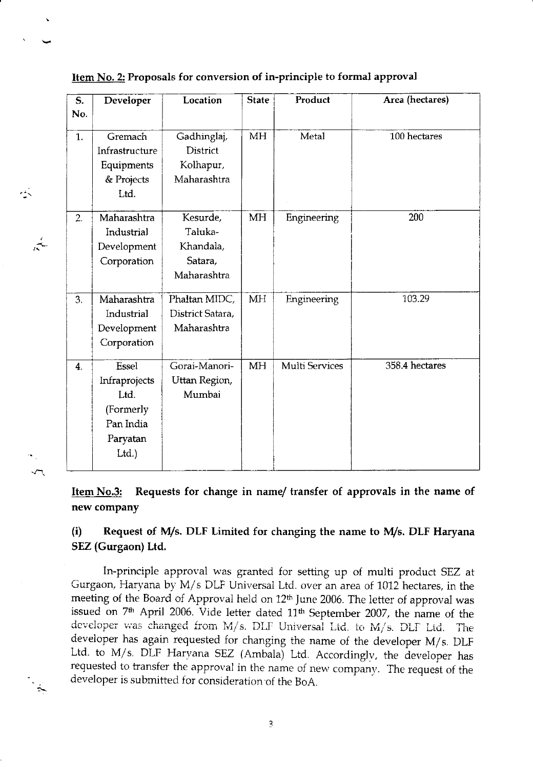| S.               | Developer                                                                    | Location                                                   | <b>State</b> | Product               | Area (hectares) |
|------------------|------------------------------------------------------------------------------|------------------------------------------------------------|--------------|-----------------------|-----------------|
| No.              |                                                                              |                                                            |              |                       |                 |
| 1.               | Gremach<br>Infrastructure<br>Equipments<br>& Projects                        | Gadhinglaj,<br>District<br>Kolhapur,<br>Maharashtra        | <b>MH</b>    | Metal                 | 100 hectares    |
|                  | Ltd.                                                                         |                                                            |              |                       |                 |
| 2.               | Maharashtra<br>Industrial<br>Development<br>Corporation                      | Kesurde,<br>Taluka-<br>Khandala,<br>Satara,<br>Maharashtra | <b>MH</b>    | Engineering           | 200             |
| 3.               | Maharashtra<br>Industrial<br>Development<br>Corporation                      | Phaltan MIDC,<br>District Satara,<br>Maharashtra           | <b>MH</b>    | Engineering           | 103.29          |
| $\overline{4}$ . | Essel<br>Infraprojects<br>Ltd.<br>(Formerly<br>Pan India<br>Paryatan<br>Ltd. | Gorai-Manori-<br>Uttan Region,<br>Mumbai                   | <b>MH</b>    | <b>Multi Services</b> | 358.4 hectares  |

Item No.2: Proposals for conversion of in-principle to formal approval

长

 $\sim$ 

 $\frac{1}{2}$ 

Item No.3: Requests for change in name/ transfer of approvals in the name of new company

## (i) Request of M/s. DLF Limited for changing the name to M/s. DLF Haryana SEZ (Gurgaon) Ltd.

In-principle approval was granted for setting up of multi product SEZ at Gurgaon, Haryana by M/s DLF Universal Ltd. over an area of 1012 hectares, in the meeting of the Board of Approval held on 12<sup>th</sup> June 2006. The letter of approval was issued on 7<sup>th</sup> April 2006. Vide letter dated 11<sup>th</sup> September 2007, the name of the developer was changed from M/s. DLF Universal Ltd. to M/s. DLF Ltd. The developer has again requested for changing the name of the developer M/s. DLF Ltd. to M/s. DLF Haryana SEZ (Ambala) Ltd. Accordingly, the developer has requested to transfer the approval in the name of new company. The request of the developer is submitted for consideration of the BoA.

 $\overline{3}$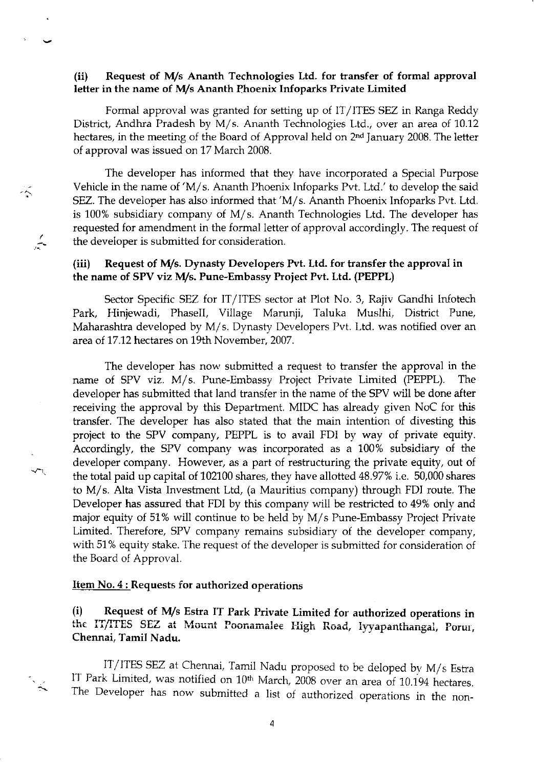#### (ii) Request of \4/s Ananth Technologies Ltd. for transfer of formal approval letter in the name of M/s Ananth Phoenix Infoparks Private Limited

Formal approval was granted for setting up of IT/ITES SEZ in Ranga Reddy Diskict, Andhra Pradesh by M/s. Ananth Technologies Ltd., over an area of 10.12 hectares, in the meeting of the Board of Approval held on 2<sup>nd</sup> January 2008. The letter of approval was issued on 17 March 2008.

The developer has informed that they have incorporated a Special Purpose Vehicle in the name of 'M/s. Ananth Phoenix Infoparks Pvt. Ltd.' to develop the said SEZ. The developer has also informed that 'M/s. Ananth Phoenix Infoparks Pvt. Ltd. is 100% subsidiary company of M/s. Ananth Technologies Ltd. The developer has requested for amendment in the formal letter of approval accordingly. The request of the developer is submitted for consideration.

#### (iii) Request of M/s. Dynasty Developers Pvt. Ltd. for transfer the approval in the name of SPV viz M/s. Pune-Embassy Project Pvt. Ltd. (PEPPL)

Sector Specific SEZ for IT/ITES sector at Plot No. 3, Rajiv Gandhi Infotech Park, Hiniewadi, PhaseII, Village Marunii, Taluka Muslhi, District Pune, Maharashtra developed by M/s. Dynasty Developers Pvt. Ltd. was notified over an area of 17.12 hectares on 19th November, 2007.

The developer has now submitted a request to transfer the approval in the name of SPV viz. M/s. Pune-Embassy Project Private Limited (PEPPL). The developer has submitted that land transfer in the name of the SPV will be done after receiving the approval by this Department, MIDC has already given NoC for this transfer. The developer has also stated that the main intention of divesting this project to the SPV company, PEPPL is to avail FDI by way of private equity. Accordingly, the SPV company was incorporated as a 100% subsidiary of the developer company. However, as a part of restructuring the private equity, out of the total paid up capital of 102100 shares, they have allotted 48.97% i.e. 50,000 shares to M/s. AIta Vista Investment Ltd, (a Mauritius company) through FDI route. The Developer has assured that FDI by this company will be restricted to 49% only and major equity of 51% will continue to be held by M/s Pune-Embassy Project Private Limited. Therefore, SPV company remains subsidiary of the developer company, with 51% equity stake. The request of the developer is submitted for consideration of the Board of Approval.

#### Item  $No.4:$  Requests for authorized operations

 $\hat{\hat{\mathbf{v}}}$ 

 $\frac{1}{\sqrt{2}}$ 

 $\sqrt{2}$ 

 $\sim$ 

(i) Request of M/s Estra IT Park Private Limited for authorized operations in the IT/ITES SEZ at Mount Poonamalee High Road, lyyapanthangal, Porur, Chennai, Tamil Nadu.

IT/ITES SEZ at Chennai, Tamil Nadu proposed to be deloped by M/s Estra IT Park Limited, was notified on 10<sup>th</sup> March, 2008 over an area of 10.194 hectares. The Developer has now submitted a list of authorized operations in the non-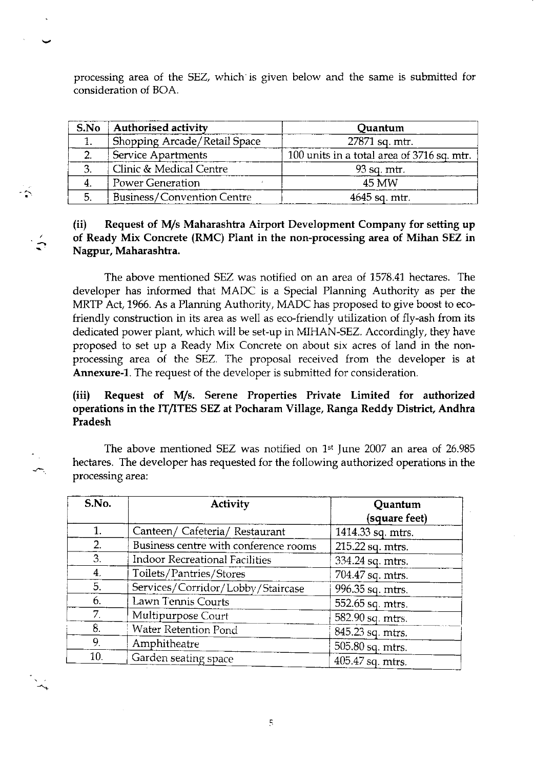processing area of the SEZ, which is given below and the same is submitted for consideration o{ BOA.

| S.No | <b>Authorised activity</b>        | Quantum                                      |
|------|-----------------------------------|----------------------------------------------|
|      | Shopping Arcade/Retail Space      | 27871 sq. mtr.                               |
|      | Service Apartments                | 100 units in a total area of $3716$ sq. mtr. |
| 2    | Clinic & Medical Centre           | $93$ sq. mtr.                                |
|      | <b>Power Generation</b>           | 45 MW                                        |
| 5.   | <b>Business/Convention Centre</b> | 4645 sq. mtr.                                |

 $\hat{\phantom{a}}$ 

## (ii) Request of M/s Maharashtra Airport Development Company for setting up of Ready Mix Concrete (RMC) Plant in the non-processing area of Mihan SEZ in Nagpur, Maharashtra.

The above mentioned SEZ was notified on an area of 1578.41 hectares. The developer has informed that MADC is a Special Planning Authority as per the MRTP Act, 1966. As a Planning Authority, MADC has proposed to give boost to ecofriendly construction in its area as well as eco-friendly utilization of fly-ash from its dedicated power plant, which will be set-up in MIHAN-SEZ. Accordingly, they have proposed to set up a Ready Mix Concrete on about six acres of land in the nonprocessing area of the SEZ. The proposal received from the developer is at Annexure-l. The request of the developer is submitted for consideration.

## (iii) Request of M/s. Serene Properties Private Limited for authorized operations in the IT/ITES SEZ at Pocharam Village, Ranga Reddy District, Andhra Pradesh

The above mentioned SEZ was notified on 1st June 2007 an area of 26.985 hectares. The developer has requested for the following authorized operations in the processing area:

| S.No.          | <b>Activity</b>                       | Quantum<br>(square feet) |
|----------------|---------------------------------------|--------------------------|
| 1.             | Canteen/ Cafeteria/ Restaurant        | 1414.33 sq. mtrs.        |
| 2.             | Business centre with conference rooms | 215.22 sq. mtrs.         |
| 3.             | Indoor Recreational Facilities        | 334.24 sq. mtrs.         |
| 4.             | Toilets/Pantries/Stores               | 704.47 sq. mtrs.         |
| 5.             | Services/Corridor/Lobby/Staircase     | 996.35 sq. mtrs.         |
| 6.             | Lawn Tennis Courts                    | 552.65 sq. mtrs.         |
| 7 <sub>1</sub> | Multipurpose Court                    | 582.90 sq. mtrs.         |
| 8.             | Water Retention Pond                  | 845.23 sq. mtrs.         |
| 9.             | Amphitheatre                          | 505.80 sq. mtrs.         |
| 10.            | Garden seating space                  | 405.47 sq. mtrs.         |

 $\overline{\mathbb{S}}$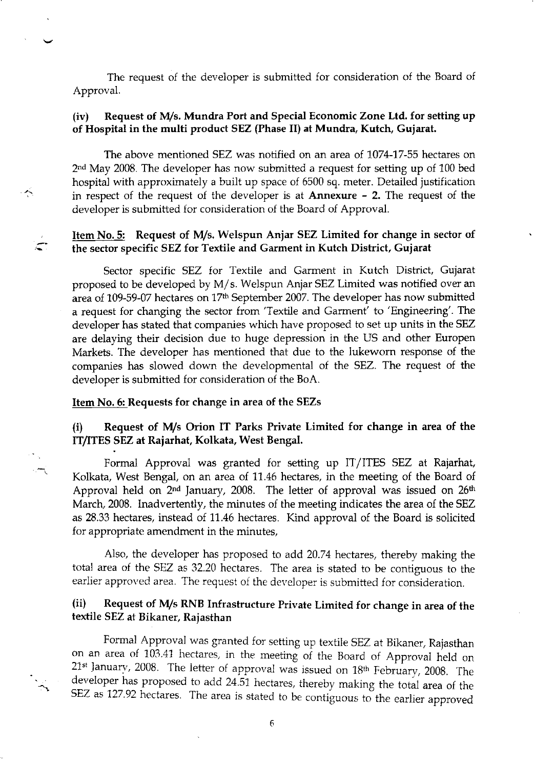The request of the developer is submitted for consideration of the Board of Approval.

#### (iv) Request of M/s. Mundra Port and Special Economic Zone Ltd. for setting up of Hospital in the multi product SEZ (Phase II) at Mundra, Kutch, Gujarat.

The above mentioned SEZ was notified on an area of 1074-17-55 hectares on 2nd May 2008. The developer has now submitted a request for setting up of 100 bed hospital with approximately a built up space of 6500 sq. meter. Detailed justification in respect of the request of the developer is at Annexure - 2. The request of the developer is submitted for consideration of the Board of Approval.

#### Item No. 5: Request of M/s. Welspun Anjar SEZ Limited for change in sector of the sector specific SEZ fot Textile and Garment in Kutch District, Gujarat

Sector specific SEZ for Textile and Garment in Kutch District, Gujarat proposed to be developed by M/s. Welspun Anjar SEZ Limited was notified over an area of 109-59-07 hectares on 17<sup>th</sup> September 2007. The developer has now submitted a request for changing the sector from'Textile and Garment' to 'Engineering'. The developer has stated that companies which have proposed to set up units in the SEZ are delaying their decision due to huge depression in the US and other Europen Markets. The developer has mentioned that due to the iukeworn response of the companies has slowed down the developmental of the SEZ. The request of the developer is submitted for consideration of the BoA.

#### Item No. 6: Requests for change in area of the SEZs

 $\mathcal{A}_1$ 

#### (i) Request of M/s Orion IT Parks Private Limited for change in area of the IT/ITES SEZ at Rajarhat, Kolkata, West Bengal.

Formal Approval was granted for setting up IT/ITES SEZ at Rajarhat, Kolkata, West Bengal, on an area of 11.46 hectares, in the meeting of the Board of Approval held on  $2<sup>nd</sup>$  January, 2008. The letter of approval was issued on  $26<sup>th</sup>$ March, 2008. Inadvertently, the minutes of the meeting indicates the area of the SEZ as 28.33 hectares, instead of 11.46 hectares. Kind approval of the Board is solicited for appropriate amendment in the minutes,

Also, the developer has proposed to add 20.74 hectares, thereby making the total area of the SEZ as 32.20 hectares. The area is stated to be contiguous to the earlier approved area. The request of the developer is submitted for consideration.

#### (ii) Request of M/s RNB Infrastructure Private Limited for change in area of the textile SEZ at Bikaner, Rajasthan

Formal Approval was granted for setting up textile sEZ at Bikaner, Rajasthan on an area of 103.41 hectares, in the meeting of the Board of Approval held on  $21<sup>st</sup>$  January, 2008. The letter of approval was issued on  $18<sup>th</sup>$  February, 2008. The developer has proposed to add 24.51 hectares, thereby making the total area of the SEZ as 127.92 hectares. The area is stated to be contiguous to the earlier approved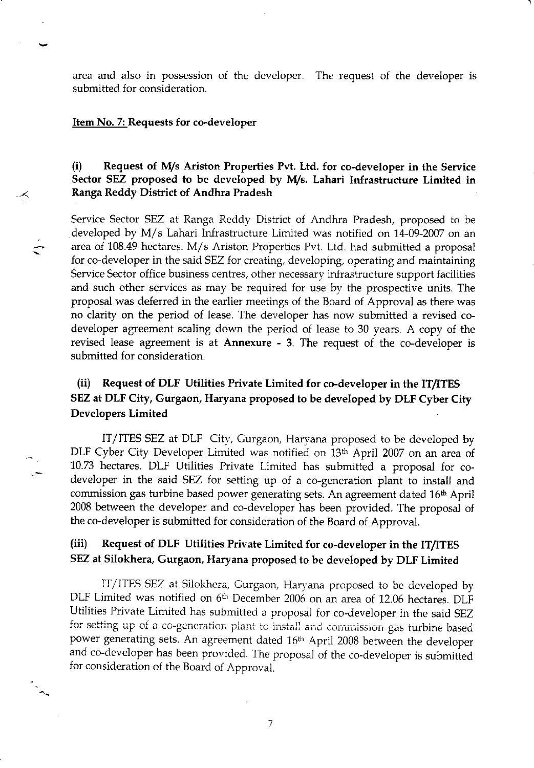area and also in possession o{ the developer. The request of the developer is submitted for consideration.

#### Item No. 7: Requests for co-developer

 $\lt$ 

## (i) Request of IWs Ariston Properties Pvt. Ltd. for co-developer in the Service Sector SEZ proposed to be developed by M/s. Lahari Infrastructure Limited in Ranga Reddy District of Andhra Pradesh

Service Sector SEZ at Ranga Reddy District of Andhra Pradesh, proposed to be developed by M/s Lahari Infrastructure Limited was notified on 14-09-2007 on an area of  $108.49$  hectares. M/s Ariston Properties Pvt. Ltd. had submitted a proposal for co-developer in the said SEZ for creating, developing, operating and maintaining Service Sector office business centres, other necessary infrastructure support facilities and such other services as may be required for use by the prospective units. The proposal was deferred in the earlier meetings of the Board of Approval as there was no clarity on the period of lease. The developer has now submitted a revised codeveloper agreement scaling down the period of lease to 30 years. A copy of the revised lease agreement is at Annexure - 3. The request of the co-deveioper is submitted for consideration.

## (ii) Request of DLF Utilities Private Limited for co-developer in the IT/ITES SEZ at DLF Cify, Gurgaon, Haryana proposed to be developed by DLF Cyber City Developers Limited

IT/ITES SEZ at DLF Citv, Gurgaon, Harvana proposed to be developed by DLF Cyber City Developer Limited was notified on 13th April 2007 on an area of 10.73 hectares. DLF Utilities Private Limited has submitted a proposal for codeveloper in the said SEZ for setting up of a co-generation plant to install and commission gas turbine based power generating sets. An agreement dated 16<sup>th</sup> April 2008 between the developer and co-developer has been provided. The proposal of the co-deveioper is submitted for consideration of the Board of Approval.

## (iii) Request of DLF Utilities Private Limited for co-developer in the IT/ITES SEZ at Silokhera, Gurgaon, Haryana proposed to be developed by DLF Limited

IT/ITES SEZ at Silokhera, Gurgaon, Haryana proposed to be developed by DLF Limited was notified on 6<sup>th</sup> December 2006 on an area of 12.06 hectares. DLF Utilities Private Limited has submitted a proposal for co-developer in the said SEZ for setting up of a co-generation plant to install and commission gas turbine based power generating sets. An agreement dated 16<sup>th</sup> April 2008 between the developer and co-developer has been provided. The proposal of the co-developer is submitted for consideration of the Board o{ Approval.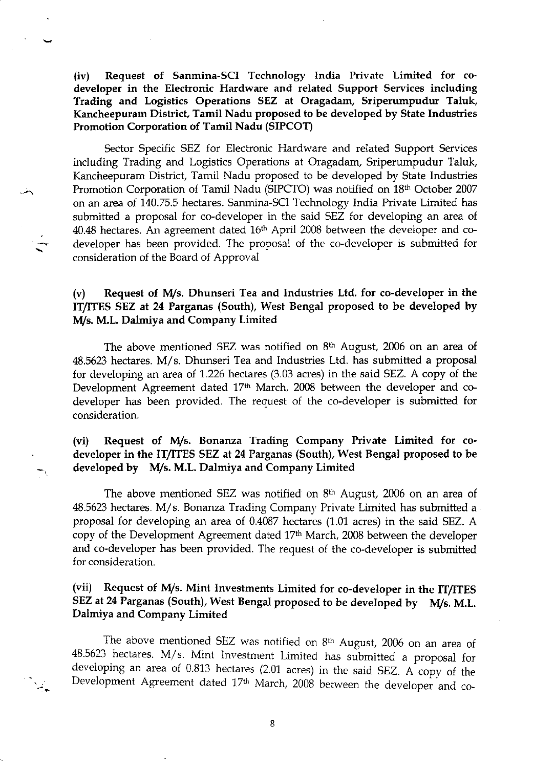(iv) Request of Sanmina-SCI Technology India Private Limited for codeveloper in the Electronic Hardware and related Support Services including Trading and Logistics Operations SEZ at Oragadam, Sriperumpudur Taluk, Kancheepuram District, Tamil Nadu proposed to be developed by State Industries Promotion Corporation of Tamil Nadu (SIPCOT)

Sector Specific SEZ for Electronic Hardware and related Support Services including Trading and Logistics Operations at Oragadam, Sriperumpudur Taluk, Kancheepuram District, Tamil Nadu proposed to be developed by State Industries Promotion Corporation of Tamil Nadu (SIPCTO) was notified on 18<sup>th</sup> October 2007 on an area of 140.75.5 hectares. Sanmina-SCl Technology India Private Limited has submitted a proposal for co-developer in the said SEZ for developing an area of  $40.48$  hectares. An agreement dated  $16<sup>th</sup>$  April 2008 between the developer and codeveloper has been provided. The proposal of the co-developer is submitted for corsideration of the Board of Approval

#### $(v)$  Request of M/s. Dhunseri Tea and Industries Ltd. for co-developer in the ff/fTES SEZ at 24 Parganas (South), West Bengal proposed to be developed by M/s. M.L. Dalmiya and Company Limited

The above mentioned SEZ was notified on  $8<sup>th</sup>$  August, 2006 on an area of 48.5623 hectares. M/s. Dhunseri Tea and Industries Ltd. has submitted a proposal for developing an area of 1.226 hectares (3.03 acres) in the said SEZ. A copy of the Development Agreement dated 17h March, 2008 between the developer and codeveloper has been provided. The request of the co-developer is submitted for consideration.

## (vi) Request of M/s. Bonanza Trading Company Private Limited for codeveloper in the IT/ITES SEZ at 24 Parganas (South), West Bengal proposed to be developed by M/s. M.L. Dalmiya and Company Limited

The above mentioned SEZ was notified on 8<sup>th</sup> August, 2006 on an area of 48.5523 hectares. M/s. Bonanza Trading Company Private Limited has submitted <sup>a</sup> proposal for developing an area of 0.4087 hectares (1.01 acres) in the said SEZ. A copy of the Development Agreement dated 17th March, 2008 between the developer and co-developer has been provided. The request of the co-developer is submitted for consideration.

## (vii) Request of M/s. Mint Investments Limited for co-developer in the IT/ITES SEZ at 24 Parganas (South), West Bengal proposed to be developed by M/s. M.L. Dalmiya and Company Limited

The above mentioned SEZ was notified on 8<sup>th</sup> August, 2006 on an area of 48.5623 hectares. M/s. Mint Investment Limited has submitted a proposal for developing an area of 0.813 hectares (2.01 acres) in the said sEZ. A copv of the Development Agreement dated 17th March, 2008 between the developer and co-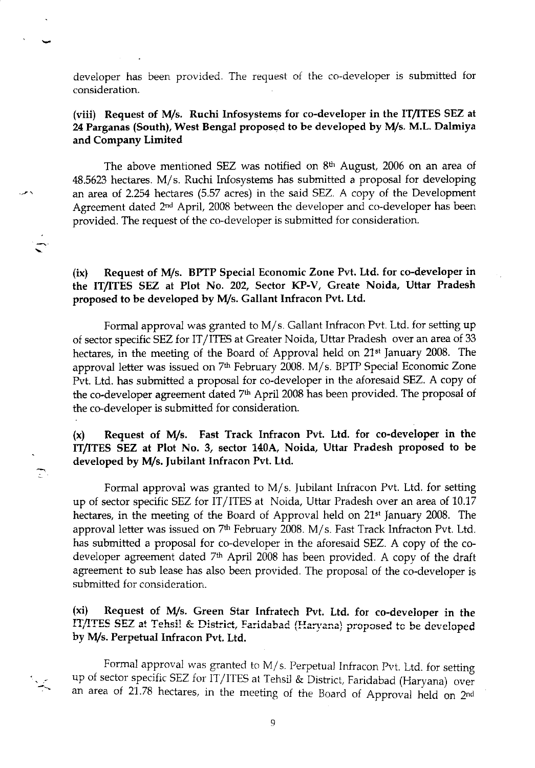developer has been provided. The request of the co-developer is submitted for consideration.

### (viii) Request of M/s. Ruchi Infosystems for co-developer in the IT/ITES SEZ at 24 Parganas (South), West Bengal proposed to be developed by M/s. M.L. Dalmiya and Company Limited

The above mentioned SEZ was notified on  $8<sup>th</sup>$  August, 2006 on an area of 48.5623 hectares. M/s. Ruchi Infosystems has submitted a proposal for developing an area of 2.254 hectares (5.57 acres) in the said SEZ. A copy of the Deveiopment Agreement dated 2<sup>nd</sup> April, 2008 between the developer and co-developer has been provided. The request of the co-developer is submitted for consideration,

(ix) Request of M/s. BPTP Special Economic Zone Pvt. Ltd. for co-developer in the IT/ITES SEZ at Plot No. 202, Sector KP-V, Greate Noida, Uttar Pradesh proposed to be developed by M/s. Gallant Infracon Pvt. Ltd.

Formal approval was granted to M/s. Gallant Infracon Pvt. Ltd. for setting up of sector specific SEZ ior IT/ITES at Greater Noida, Uttar Pradesh over an area of 33 hectares, in the meeting of the Board of Approval heid on 21st January 2008. The approval letter was issued on 7<sup>th</sup> February 2008. M/s. BPTP Special Economic Zone Pvt. Ltd. has submitted a proposal for co-developer in the aforesaid SEZ. A copy ot the co-developer agreement dated 7<sup>th</sup> April 2008 has been provided. The proposal of the co-developer is submitted Ior consideration.

(x) Request of M/s. Fast Track Infracon Pvt. Ltd. for co-developer in the ITITES SEZ at Plot No. 3, sector 140A, Noida, Uttar Pradesh proposed to be developed by M/s, Jubilant Infracon Pvt. Ltd.

 $\widetilde{\mathbb{C}}$ 

Formal approval was granted to  $M/s$ . Jubilant Infracon Pvt. Ltd. for setting up of sector specific SEZ for IT/ITES at Noida, Uttar Pradesh over an area of 10.17 hectares, in the meeting of the Board of Approval held on 21<sup>st</sup> January 2008. The approval letter was issued on 7<sup>th</sup> February 2008. M/s. Fast Track Infracton Pvt. Ltd. has submitted a proposal for co-developer in the aforesaid SEZ. A copy of the codeveloper agreement dated  $7<sup>th</sup>$  April 2008 has been provided. A copy of the draft agreement to sub lease has also been provided. The proposal of the co-developer is submitted for consideration.

(xi) Request of M/s. Green Star Infratech Pvt. Ltd, for co-developer in the IT/ITES SEZ at Tehsil & District, Faridabad (Haryana) proposed to be developed by M/s. Perpetual Infracon Pvt. Ltd.

Formal approval was granted to  $M/s$ . Perpetual Infracon Pvt. Ltd. for setting up of sector specific SEZ for IT/ITES at Tehsil & District, Faridabad (Haryana) over an area of 21.78 hectares, in the meeting of the Board of Approval held on 2<sup>nd</sup>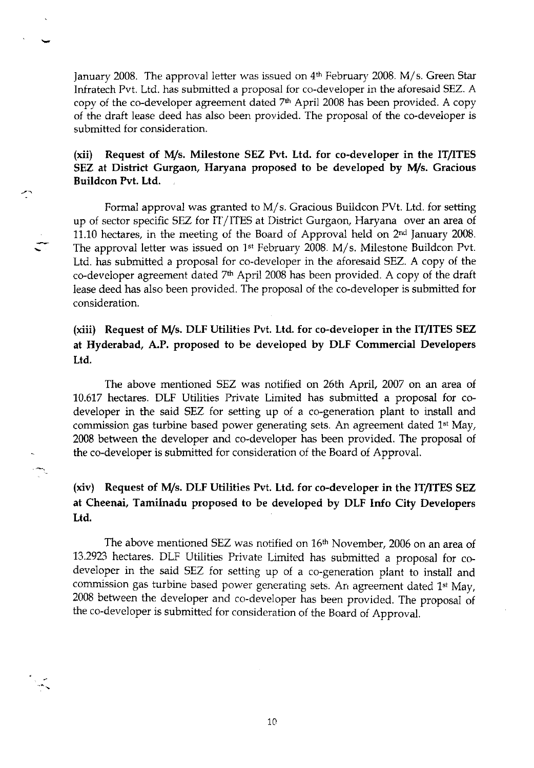January 2008. The approval letter was issued on  $4<sup>th</sup>$  February 2008. M/s. Green Star Infratech Pvt. Ltd. has submitted a proposal for co-deveioper in the aforesaid SEZ. A copy of the co-developer agreement dated 7<sup>th</sup> April 2008 has been provided. A copy of the draft lease deed has also been provided. The proposal of the co-developer is submitted for consideration.

### $(xii)$  Request of M/s. Milestone SEZ Pvt. Ltd. for co-developer in the IT/ITES SEZ at District Gurgaon, Haryana proposed to be developed by M/s. Gracious Buildcon Pvt. Ltd.

المعيسر

Formal approval was granted to M/s. Gracious Buildcon PVt. Ltd. for setting up of sector specific SEZ for IT/ITES at District Gurgaon, Haryana over an area of 11.10 hectares, in the meeting of the Board of Approval held on 2<sup>nd</sup> January 2008. The approval letter was issued on 1<sup>st</sup> February 2008. M/s. Milestone Buildcon Pvt. Ltd. has submitted a proposal for co-developer in the aforesaid SEZ. A copy of the co-developer agreement dated  $7<sup>th</sup>$  April 2008 has been provided. A copy of the draft lease deed has also been provided. The proposal of the co-developer is submitted for consideration.

## (xiii) Request of M/s. DLF Utilities Pvt. Ltd. for co-developer in the IT/ITES SEZ at Hyderabad, A.P, proposed to be developed by DLF Commercial Developers Lrd.

The above mentioned SEZ was notified on 26th April, 2007 on an area of 10.617 hectares. DLF Utilities Private Limited has submitted a proposal for codeveloper in the said SEZ for setting up of a co-generation plant to install and commission gas turbine based power generating sets. An agreement dated 1<sup>st</sup> May, 2008 between the developer and co-developer has been provided. The proposal of the co-developer is submitted for consrderation of the Board of Approval.

## (xiv) Request of M/s. DLF Utilities Pvt. Ltd. for co-developer in the IT/ITES SEZ at Cheenai, Tamilnadu proposed to be developed by DLF Info City Developers Ltd.

The above mentioned SEZ was notified on 16<sup>th</sup> November, 2006 on an area of 13.2923 hectares. DLF utilities Private Limited has submitted a proposal for codeveloper in the said SEZ for setting up of a co-generation plant to install and commission gas turbine based power generating sets. An agreement dated 1<sup>st</sup> May, 2o08 between the developer and co-developer has been provided. The proposal of the co-developer is submitted for consideration of the Board of Approval.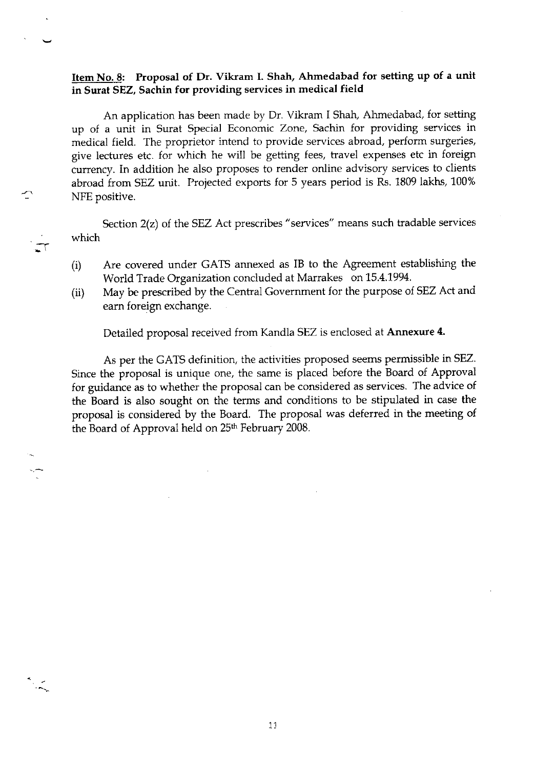#### Item No. 8: Proposal of Dr. Vikram I. Shah, Ahmedabad for setting up of a unit in Surat SEZ, Sachin for providing services in medical field

An application has been made by Dr. Vikram i Shah, Ahmedabad, for setting up of a unit in Surat Special Economic Zone, Sachin for providing services in medical field. The proprietor intend to provide services abroad, perform surgeries, give lectures etc. for which he will be getting fees, travel expenses etc in foreign currency. In addition he also proposes to render online advisory services to clients abroad from SEZ unit. Projected exports for 5 years period is Rs. 1809 lakhs, 100% NFE positive.

Section  $2(z)$  of the SEZ Act prescribes "services" means such tradable services which

Jr

- (i) Are covered under GATS annexed as IB to the Agreement establishing the World Trade Organization concluded at Marrakes on 15.4.1994.
- (ii) May be prescribed by the Central Government for the purpose of SEZ Act and earn foreign exchange.

Detailed proposal received from Kandla SEZ is enclosed at Annexure 4.

As per the GATS definition, the activities proposed seems permissible in SEZ. Since the proposal is unique one, the same is placed before the Board of Approval for guidance as to whether the proposal can be considered as services. The advice of the Board is also sought on the terms and conditions to be stipulated in case the proposal is considered by the Board. The proposal was deferred in the meeting of the Board of Approval held on 25<sup>th</sup> February 2008.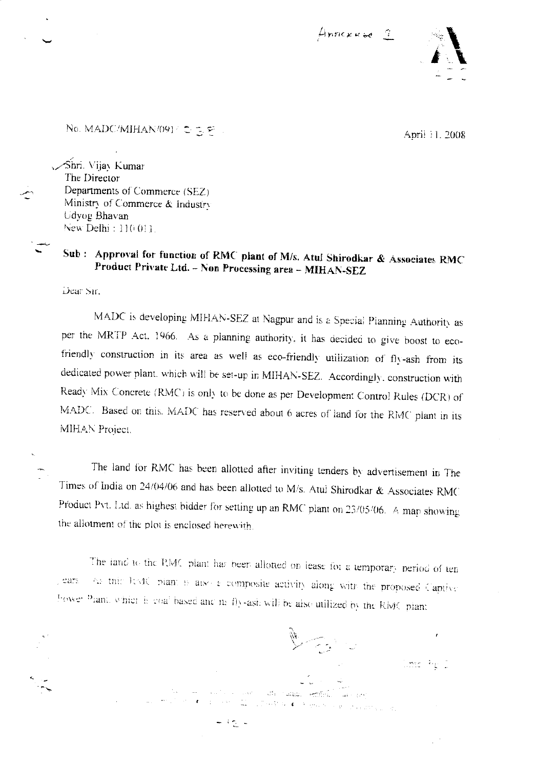



No. MADC/MIHAN/091/ $\subset \subset \subset$ 

April 11, 2008

Shri. Vijay Kumar The Director Departments of Commerce (SEZ) Ministry of Commerce & Industry Udyog Bhavan New Delhi: 110.011.

# Sub : Approval for function of RMC plant of M/s. Atul Shirodkar & Associates RMC Product Private Ltd. - Non Processing area - MIHAN-SEZ

Dear Sir.

MADC is developing MIHAN-SEZ at Nagpur and is a Special Planning Authority as per the MRTP Act. 1966. As a planning authority, it has decided to give boost to ecofriendly construction in its area as well as eco-friendly utilization of fly-ash from its dedicated power plant, which will be set-up in MIHAN-SEZ. Accordingly, construction with Ready Mix Concrete (RMC) is only to be done as per Development Control Rules (DCR) of MADC. Based on this. MADC has reserved about 6 acres of land for the RMC plant in its MIHAN Project.

The land for RMC has been allotted after inviting tenders by advertisement in The Times of India on 24/04/06 and has been allotted to M/s. Atul Shirodkar & Associates RMC Product Pvt. Ltd. as highest bidder for setting up an RMC plant on 23/05/06. A map showing the allotment of the plot is enclosed herewith.

The iand to the RMC plant has been allotted on lease for a temporary period of ten the thin Itsac plant is also a composite activity along with the proposed Captive lears Fower Plant, which is coal based and in fly-ash will be also utilized by the RMC plant

 $\mathbb{R} \rightarrow \mathbb{R}$ 

 $\widehat{\omega}_{\tau}$  , it is at  $\tau$  , and  $\tau$  , and  $\tau$  , and  $\eta$  , and  $\eta$  , and  $\eta$ 

in the nature emission

lime Pers

 $-32 -$ 

en forma coner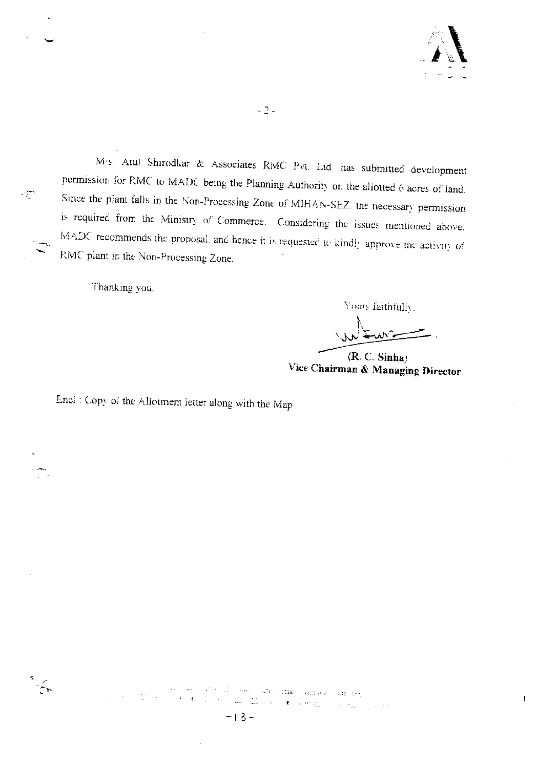

 $\mathfrak{f}$ 

M/s. Atul Shirodkar & Associates RMC Pvt. Ltd. has submitted development permission for RMC to MADC being the Planning Authority on the allotted 6 acres of land. Since the plant falls in the Non-Processing Zone of MIHAN-SEZ, the necessary permission is required from the Ministry of Commerce. Considering the issues mentioned above, MADC recommends the proposal, and hence it is requested to kindly approve the activity of RMC plant in the Non-Processing Zone.

Thanking you.

Yours faithfully.

 $(R. C. Simha)$ Vice Chairman & Managing Director

Encl : Copy of the Allotment letter along with the Map



 $\cdot \mathbb{Z}$ 

sees are swan values  $2.41 \cdot 12.6$  $\frac{2\pi}{\omega}$  ,  $\frac{1}{2}$  , in<br>III e cette vergi  $\langle \phi_{\alpha} \rangle \delta_{\alpha}$  ,  $\langle \phi_{\alpha} \rangle$  , and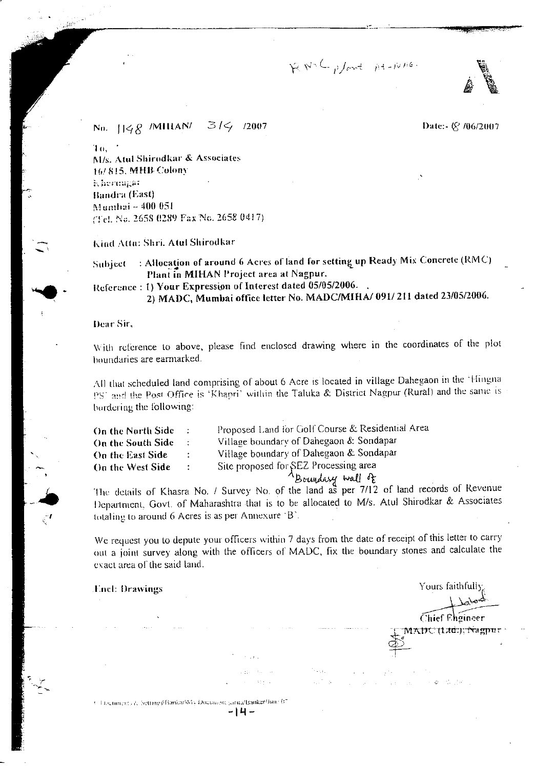RNC plant At-NAG.



Date:- (§ /06/2007

No.  $1148$  *MIHAN*<sup> $314$ </sup> 2007

 $70,$ M/s. Atul Shirodkar & Associates 16/815, MHB Colony E hermapar Bandra (East) Mumhai - 400 051 (Tel. No. 2658 0289 Fax No. 2658 0417)

Kind Atta: Shri. Atul Shirodkar

: Allocation of around 6 Acres of land for setting up Ready Mix Concrete (RMC) Subject Plant in MIHAN Project area at Nagpur.

Reference: 1) Your Expression of Interest dated 05/05/2006. 2) MADC, Mumbai office letter No. MADC/MIHA/ 091/211 dated 23/05/2006.

Dear Sir,

SS.

With reference to above, please find enclosed drawing where in the coordinates of the plot houndaries are earmarked.

All that scheduled land comprising of about 6 Acre is located in village Dahegaon in the 'Hingna PS' and the Post Office is 'Khapri' within the Taluka & District Nagpur (Rural) and the same is bordering the following:

| On the North Side | $\sim$ $\sim$              | Proposed Land for Golf Course & Residential Area |
|-------------------|----------------------------|--------------------------------------------------|
| On the South Side | $\mathcal{I}$              | Village boundary of Dahegaon & Sondapar          |
| On the East Side  | $\mathcal{L}_{\rm{max}}$   | Village boundary of Dahegaon & Sondapar          |
| On the West Side  | $\mathcal{L}^{\text{max}}$ | Site proposed for SEZ Processing area            |
|                   |                            | $A_{Bright}$ wall of                             |

The details of Khasra No. / Survey No. of the land as per 7/12 of land records of Revenue Department, Govt. of Maharashtra that is to be allocated to M/s. Atul Shirodkar & Associates totaling to around 6 Acres is as per Annexure 'B'.

We request you to depute your officers within 7 days from the date of receipt of this letter to carry out a joint survey along with the officers of MADC, fix the boundary stones and calculate the exact area of the said land.

**Lnel: Drawings** 

Yours faithfully

**Chief Engineer** 

MADC (Littl.), Nagpur

3. Discuments & Settings\Bankar\My Document sarita/Bankar/June 07

 $-14-$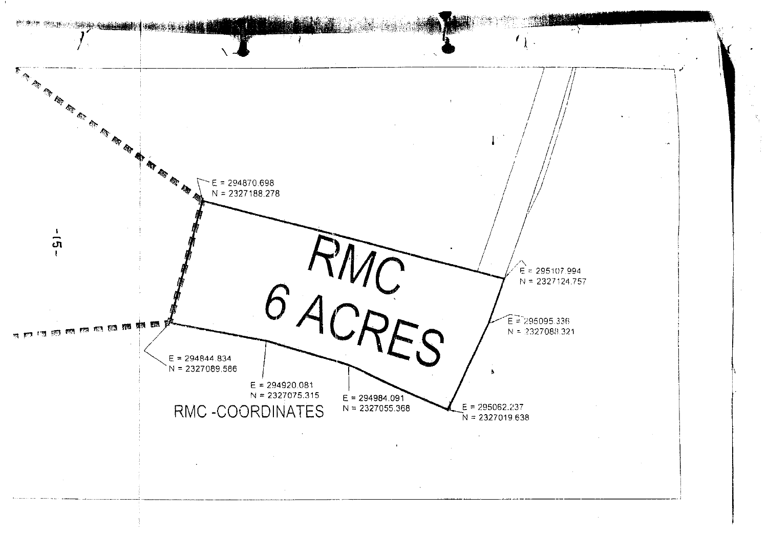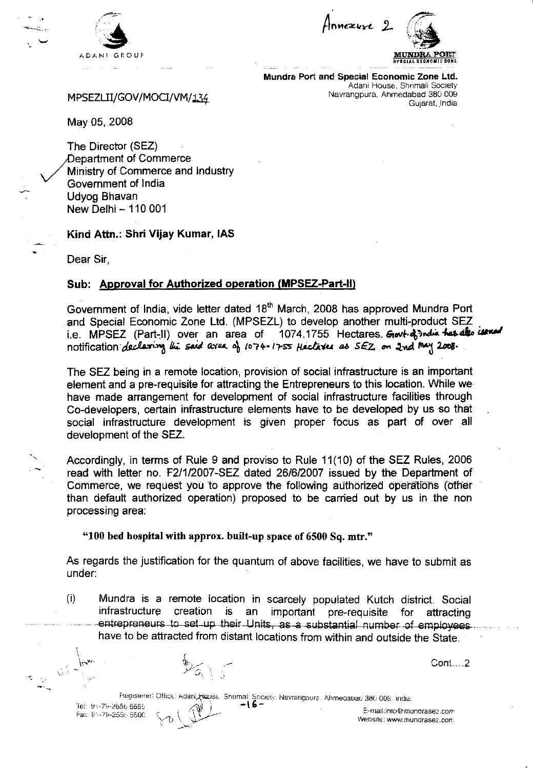

 $n$ nnezure 2 frnrorn "+ .q,;: Annezure 2 C



Mundra Port and Special Economic Zone Ltd. Adani House, Shrimali Society Navrangpura, Ahmedabad 380 OOg Gujarat, India

MPSEZLII/GOV/MOCI/VM/134

May 05, 2008

The Director (SEZ) Department of Commerce Ministry of Commerce and lndustry Government of lndia Udyog Bhavan New Delhi - 110 001

Kind Attn.: Shri Vijay Kumar, IAS

Dear Sir,

#### Sub: Approval for Authorized operation (MPSEZ-Part-II)

Government of India, vide letter dated 18<sup>th</sup> March, 2008 has approved Mundra Port and Special Economic Zone Ltd. (MPSEZL) to develop another multi-product SEZ i.e. MPSEZ (Part-II) over an area of 1074.1755 Hectares. Govt-of india that also issued notification declaring the said area of 1074-1755 Heclares as  $SEZ$  on 2nd May 2008.

The SEZ being in a remote location, provision of social infrastructure is an important element and a pre-requisite for attracting the Entrepreneurs to this location. While we have made arrangement for development of social infrastructure facilities through Co-developers, certain infrastructure elements have to be developed by us so that social infrastructure development is given proper focus as part of over all development of the SEZ.

Accordingly, in terms of Rule 9 and proviso to Rule 11(10) of the SEZ Rules,2006 read with letter no. F21112007-SEZ dated 2616/2007 issued by the Department of Commerce, we request you to approve the following authorized operations (other than default authorized operation) proposed to be carried out by us in the non processing area:

"100 bed hospital with approx. built-up space of 6500 Sq. mtr,"

(

I:2'

As regards the justification for the quantum of above facilities, we have to submit as under:

(i) Mundra is a remote location in scarcely populated Kutch district. Social important pre-requisite for attracting entrepreneurs to set-up their Units, as a substantial number of employees have to be attracted from distant locations from within and outside the State.

\1i., -- Cont.. . .2

Tel: 91-79-2656 5555 Fa). !: -79-255., 550C

heoistered Office: Adani Heuse Shrimali Society, Navrangpura, Ahmedabad 380 009, India<br>56 5555 F-mail:into@mi .<br>\./^\

E-mail:inn@munorasez.con, Website: www.munorasez.con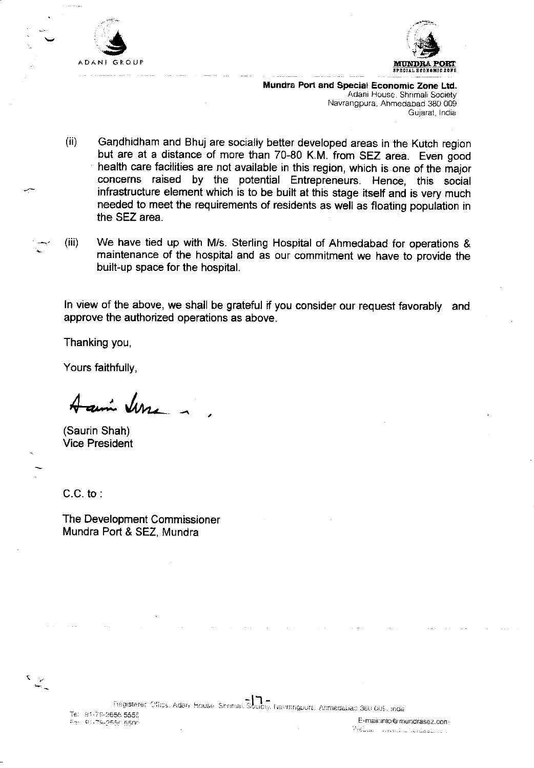



Mundra Port and Special Economic Zone Ltd. Adani House, Shrimali Society Navrangpura, Ahmedabad 380 009 Gujarat, lndia

- (ii) Gandhidham and Bhuj are socially better developed areas in the Kutch region but are at a distance of more than 70-80 K.M. from SEZ area. Even good health care facilities are not available in this region, which is one of the major .concerns raised by the potential Entrepreneurs. Henoe, this social infrastructure element which is to be built at this stage itself and is very much needed to meet the requirements of residents as well as floating population in the SEZ area.
- (iii) We have tied up with Mis. Sterling Hospital of Ahmedabad for operations & maintenance of the hospital and as our commitment we have to provide the built-up space for the hospital.

ln view of the above, we shall be grateful if you consider our request favorably and approve the authorized operations as above.

Thanking you,

Yours faithfully,

ani **Jur** 

(Saurin Shah) Vice President

C.C. to

The Development Commissioner Mundra Port & SEZ, Mundra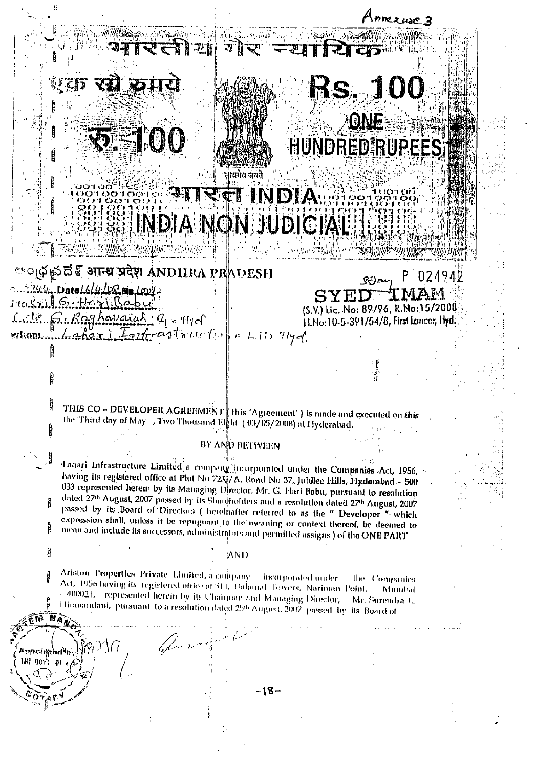OURS SERVICE **Rs. 100** ONE **SPEED C** HUNDRED RUPEES त्यमेल अयते **TINDIA** INDIA NON JUDICIAL **®**्ल¢ के दौ है आन्ध्र प्रदेश ANDHRA PRADESH P 024942  $\mathcal{S}(k)$  and  $0.244.$ Date  $16/4/9$   $28$  ma  $100/7$  $110.52115.116315060$ (S.V.) Lic. No: 89/96, R.No: 15/2000  $1.18.5.$  Raghavaiah  $q_1$ ,  $q_1$ 11. No: 10-5-391/54/8, First Lancor, Hyd. whom haber I fortrastoucture LTD 91yd THIS CO - DEVELOPER AGREEMENT | this 'Agreement' ) is made and executed on this the Third day of May 7 I wo Thousand Fight (03/05/2008) at Hyderabad. BY AND BETWEEN Lahari Infrastructure Limited a company incorporated under the Companies Act, 1956, having its registered office at Plot No 723 / A, Road No 37, Jubilee Hills, Hyderabad - 500 033 represented herein by its Managing Director. Mr. G. Hari Babu, pursuant to resolution dated 27th August, 2007 passed by its Shardholders and a resolution dated 27th August, 2007 passed by its Board of Directors ( heremafter referred to as the " Developer " which expression shall, unless it be repugnant to the meaning or context thereof, be deemed to mean and include its successors, administrators and permitted assigns ) of the ONE PART AND Ariston Properties Private Limited, a company incorporated under the Companies Act, 1956 having its registered office at 514, Dalamal Towers, Nariman Point, Mumbai - 400021. represented herein by its Chairman and Managing Director, Mr. Surendra L. Hiranandani, pursuant to a resolution dated 25th August, 2007 passed by its Board of Den maniash alis FBE oothi  $-18-$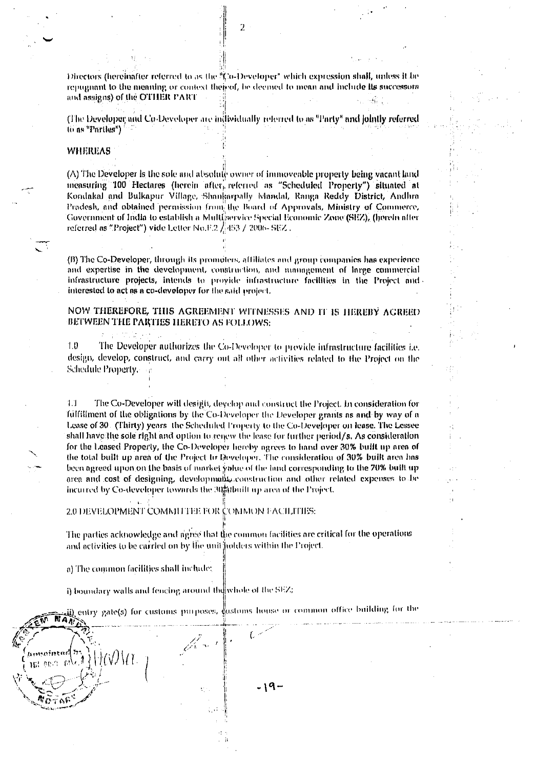Directors (hereinafter referred to as the "Co-Developer" which expression shall, unless it be repugnant to the meaning or context theised, be deemed to mean and include its successors and assigns) of the OTHER PART

(The Developer and Co-Developer are individually referred to as "Party" and jointly referred to as "Partles")

#### **WHEREAS**

 $(\wedge)$  The Developer is the sole and absolute owner of immoveable property being vacant land measuring 100 Hectares (herein after, referred as "Scheduled Property") situated at Kondakal and Bulkapur Village, Shankarpally Mandal, Ranga Reddy District, Andhra Pradesh, and obtained permission from the Board of Approvals, Ministry of Commerce, Government of India to establish a Multiservice Special Economic Zone (SEZ), (herein after referred as "Project") vide Letter No.F.2  $/1453 / 2006 - SEZ$ .

(B) The Co-Developer, through its promoters, affiliates and group companies has experience and expertise in the development, construction, and management of large commercial infrastructure projects, intends to provide infrastructure facilities in the Project and interested to act as a co-developer for the said project.

NOW THEREFORE, THIS AGREEMENT WITNESSES AND IT IS HEREBY AGREED BETWEEN THE PARTIES HERETO AS FOLLOWS:

The Developer authorizes the Co-Developer to provide infrastructure facilities i.e. 1 D design, develop, construct, and carry out all other activities related to the Project on the Schedule Property.

The Co-Developer will desigit, develop and construct the Project. In consideration for  $1.1$ fulfillment of the obligations by the Co-Developer the Developer grants as and by way of a Lease of 30. (Thirty) years the Scheduled Property to the Co-Developer on lease. The Lessee shall have the sole right and option to renew the lease for further period/s. As consideration for the Leased Property, the Co-Developer hereby agrees to hand over 30% built up area of the total built up area of the Project to Feweloper. The consideration of 30% built area has been agreed upon on the basis of market yahue of the land corresponding to the 70% built up area and cost of designing, development construction and other related expenses to be incurred by Co-developer towards the 30 abilities area of the Project.

2.0 DEVELOPMENT COMMITTEE FOR COMMON FACILITIES:

The parties acknowledge and agree that the common facilities are critical for the operations and activities to be carried on by the unit juddens within the Project.

a) The common facilities shall include:

i) boundary walls and fencing around the whole of the SEZ;

entry gate(s) for customs purposes, gustoms house or common office building for the

**NAX** kompinte **IEL ecu**  $\mathbb{R}^3$ - 19-

 $\overline{\mathbf{2}}$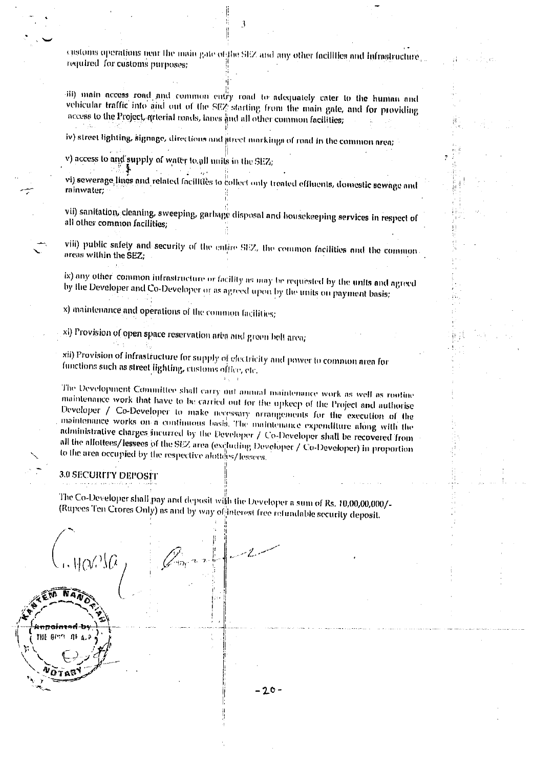customs operations near the main gate of the SEZ and any other facilities and infrastructure required for customs purposes;

iii) main access road and common entry road to adequately cater to the human and vehicular traffic into and out of the SEZ starting from the main gate, and for providing access to the Project, arterial roads, lanes and all other common facilities;

iv) street lighting, signage, directions and atreet markings of road in the common area;

v) access to and supply of water to all units in the SEZ;

vi) sewerage lines and related facilities to collect only treated effinents, domestic sewage and rainwater:

vii) sanitation, cleaning, sweeping, garbage disposal and housekeeping services in respect of all other common facilities;

viii) public safety and security of the entire SEZ, the common facilities and the commonareas within the SEZ;

ix) any other common infrastructure or facility as may be requested by the units and agreed by the Developer and Co-Developer or as agreed upon by the units on payment basis;

x) maintenance and operations of the common facilities;

xl) Provision of open space reservation area and green belt area;

xii) Provision of infrastructure for supply of electricity and power to common area for functions such as street lighting, customs office, etc.

The Development Committee shall carry out annual maintenance work as well as routine maintenance work that have to be carried out for the upkeep of the Project and authorise Developer / Co-Developer to make necessary prrangements for the execution of the maintenance works on a continuous basis. The maintenance expenditure along with the administrative charges incurred by the Developer / Co-Developer shall be recovered from all the allottees/lessees of the SEZ area (excluding Developer / Co-Developer) in proportion to the area occupied by the respective alotters/lessees.

#### 3.0 SECURITY DEPOSIT

The Co-Developer shall pay and deposit with the Developer a sum of Rs. 10,00,00,000/-(Rupees Ten Crores Only) as and by way of interest free refundable security deposit.

THE GOVT OF  $\mathbf{r}$  $-20-$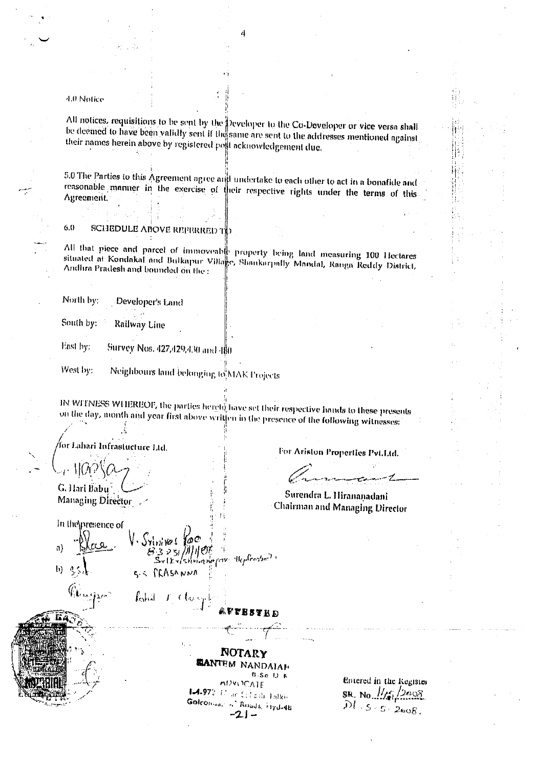4.0 Notice

All notices, requisitions to be sent by the Developer to the Co-Developer or vice versa shall be deemed to have been validly sent if the same are sent to the addresses mentioned against their names herein above by registered post acknowledgement due.

5.0 The Parties to this Agreement agree and undertake to each other to act in a bonafide and reasonable manner in the exercise of their respective rights under the terms of this Agreement.

 $6.0$ **SCHEDULE ABOVE REFERRED T** 

All that piece and parcel of immoveable property being land measuring 100 Hectares situated at Kondakal and Bulkapur Village, Shankarpally Mandal, Ranga Reddy Diatrict, Andlira Pradesh and bounded on the:

North by: Developer's Land

.š

South by: Railway Line

Fast by: Survey Nos. 427,429,430 and 480

Neighbours land belonging to MAK Projects West by:

IN WITNESS WHEREOF, the parties hereto have set their respective hands to these presents on the day, month and year first above written in the presence of the following witnesses:

for Lahari Infrastucture Ltd.  $\mathcal{H}(N)$ G. Hari Babu Managing Director

For Ariston Properties Pvt.Ltd.

Surendra L. Hirananadani **Chairman and Managing Director** 

In the presence of

Srlniva  $\mathfrak{a}$ <sub>;</sub>3 ≥31 /#/1| OT  $\mathbb{R}^{C}$ eccles  $\mathbb{R}^{D}$ Svlkylstinin n m  $\mathbf{b}$  $s \sim$   $f$  $f$  $A$  $s$  $N$  $N$  $N$ kohil T Clas

NOTARY **EANTEM NANDAIAE B-Sc LIR** 

MOVOCATE 1.4-972 12 an Cobailte Falkin Golconson of Roads, rivd-48  $-21-$ 

Entered in the Register SR. No.  $\frac{1}{5}$  (2008)<br>  $DI - S - S - 2008$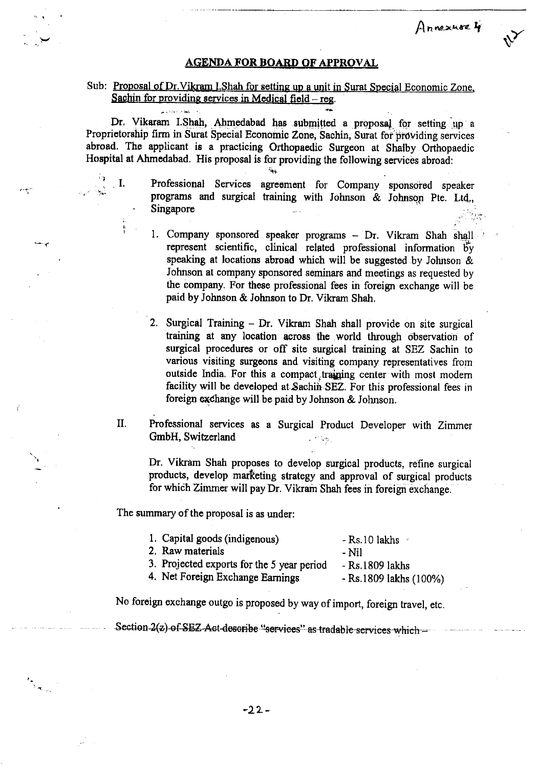#### **AGENDA FOR BOARD OF APPROVAL**

Annexuse 4

#### Sub: Proposal of Dr. Vikram I.Shah for setting up a unit in Surat Special Economic Zone, Sachin for providing services in Medical field – reg.

and the state of the state of the state of the state of the state of the state of the state of the state of the state of the state of the state of the state of the state of the state of the state of the state of the state

 $\blacksquare$  I.

Dr. Vikaram I.Shah, Ahmedabad has submitted a proposal for setting up a Proprietorship firm in Surat Special Economic Zone, Sachin, Surat for providing services abroad. The applicant is a practicing Orthopaedic Surgeon at Shalby Orthopaedic Hospital at Ahmedabad. His proposal is for providing the following services abroad:

- Professional Services agreement for Company sponsored speaker programs and surgical training with Johnson & Johnson Pte. Ltd., Singapore
	- 1. Company sponsored speaker programs Dr. Vikram Shah shall represent scientific, clinical related professional information by speaking at locations abroad which will be suggested by Johnson & Johnson at company sponsored seminars and meetings as requested by the company. For these professional fees in foreign exchange will be paid by Johnson & Johnson to Dr. Vikram Shah.
	- 2. Surgical Training Dr. Vikram Shah shall provide on site surgical training at any location across the world through observation of surgical procedures or off site surgical training at SEZ Sachin to various visiting surgeons and visiting company representatives from outside India. For this a compact training center with most modern facility will be developed at Sachin SEZ. For this professional fees in foreign exchange will be paid by Johnson & Johnson.
- II. Professional services as a Surgical Product Developer with Zimmer GmbH, Switzerland  $\sim$   $\sigma_{\rm c}$

Dr. Vikram Shah proposes to develop surgical products, refine surgical products, develop marketing strategy and approval of surgical products for which Zimmer will pay Dr. Vikram Shah fees in foreign exchange.

The summary of the proposal is as under:

| 1. Capital goods (indigenous)              | $-$ Rs.10 lakhs $\sim$   |
|--------------------------------------------|--------------------------|
| 2. Raw materials                           | - Nil                    |
| 3. Projected exports for the 5 year period | - Rs.1809 lakhs          |
| 4. Net Foreign Exchange Earnings           | $-$ Rs.1809 lakhs (100%) |

No foreign exchange outgo is proposed by way of import, foreign travel, etc.

Section 2(z) of SEZ Act describe "services" as tradable services which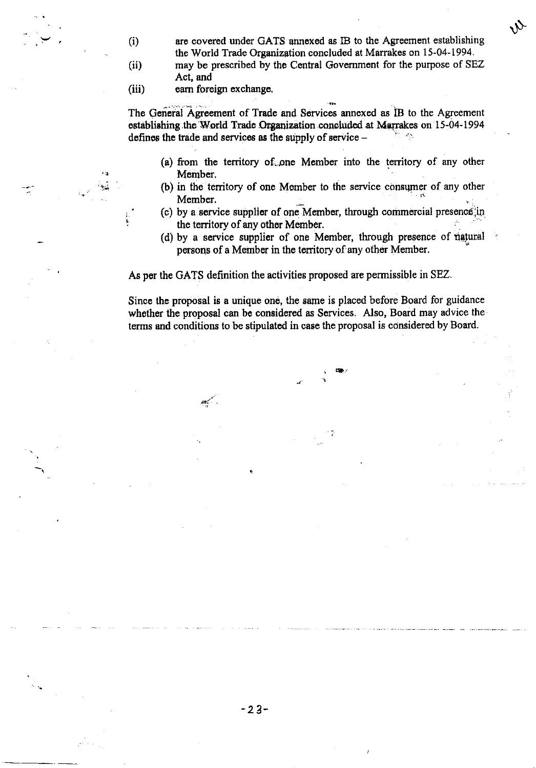- are covered under GATS annexed as IB to the Agreement establishing  $(i)$ the World Trade Organization concluded at Marrakes on 15-04-1994.  $(ii)$ 
	- may be prescribed by the Central Government for the purpose of SEZ Act. and
- $(iii)$ earn foreign exchange.

The General Agreement of Trade and Services annexed as IB to the Agreement establishing the World Trade Organization concluded at Marrakes on 15-04-1994 defines the trade and services as the supply of service -

- (a) from the territory of one Member into the territory of any other Member.
- (b) in the territory of one Member to the service consumer of any other Member.
- (c) by a service supplier of one Member, through commercial presence in the territory of any other Member.
- (d) by a service supplier of one Member, through presence of natural persons of a Member in the territory of any other Member.

As per the GATS definition the activities proposed are permissible in SEZ.

Since the proposal is a unique one, the same is placed before Board for guidance whether the proposal can be considered as Services. Also, Board may advice the terms and conditions to be stipulated in case the proposal is considered by Board.